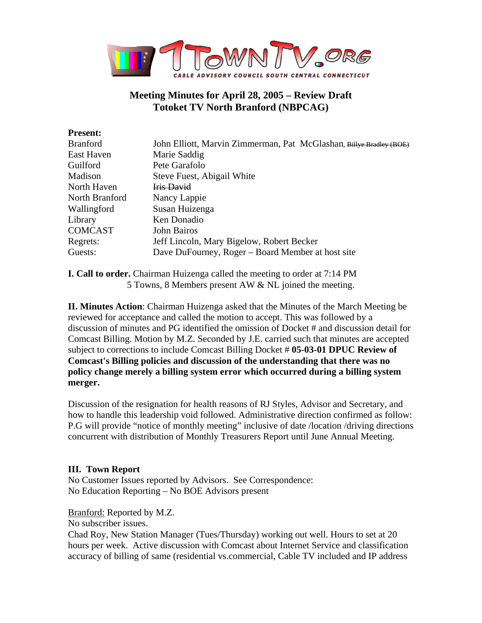

# **Meeting Minutes for April 28, 2005 – Review Draft Totoket TV North Branford (NBPCAG)**

| <b>Present:</b> |                                                                     |
|-----------------|---------------------------------------------------------------------|
| <b>Branford</b> | John Elliott, Marvin Zimmerman, Pat McGlashan, Billye Bradley (BOE) |
| East Haven      | Marie Saddig                                                        |
| Guilford        | Pete Garafolo                                                       |
| Madison         | Steve Fuest, Abigail White                                          |
| North Haven     | Iris David                                                          |
| North Branford  | Nancy Lappie                                                        |
| Wallingford     | Susan Huizenga                                                      |
| Library         | Ken Donadio                                                         |
| <b>COMCAST</b>  | John Bairos                                                         |
| Regrets:        | Jeff Lincoln, Mary Bigelow, Robert Becker                           |
| Guests:         | Dave DuFourney, Roger – Board Member at host site                   |
|                 |                                                                     |

**I. Call to order.** Chairman Huizenga called the meeting to order at 7:14 PM 5 Towns, 8 Members present AW & NL joined the meeting.

**II. Minutes Action**: Chairman Huizenga asked that the Minutes of the March Meeting be reviewed for acceptance and called the motion to accept. This was followed by a discussion of minutes and PG identified the omission of Docket # and discussion detail for Comcast Billing. Motion by M.Z. Seconded by J.E. carried such that minutes are accepted subject to corrections to include Comcast Billing Docket # **05-03-01 DPUC Review of Comcast's Billing policies and discussion of the understanding that there was no policy change merely a billing system error which occurred during a billing system merger.**

Discussion of the resignation for health reasons of RJ Styles, Advisor and Secretary, and how to handle this leadership void followed. Administrative direction confirmed as follow: P.G will provide "notice of monthly meeting" inclusive of date /location /driving directions concurrent with distribution of Monthly Treasurers Report until June Annual Meeting.

# **III. Town Report**

No Customer Issues reported by Advisors. See Correspondence: No Education Reporting – No BOE Advisors present

Branford: Reported by M.Z.

No subscriber issues.

Chad Roy, New Station Manager (Tues/Thursday) working out well. Hours to set at 20 hours per week. Active discussion with Comcast about Internet Service and classification accuracy of billing of same (residential vs.commercial, Cable TV included and IP address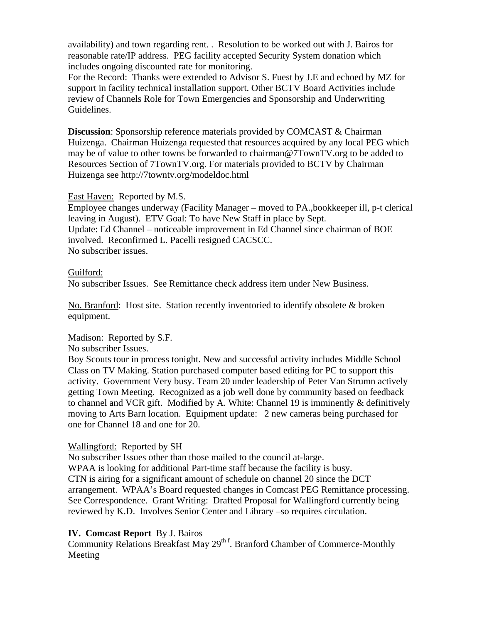availability) and town regarding rent. . Resolution to be worked out with J. Bairos for reasonable rate/IP address. PEG facility accepted Security System donation which includes ongoing discounted rate for monitoring.

For the Record: Thanks were extended to Advisor S. Fuest by J.E and echoed by MZ for support in facility technical installation support. Other BCTV Board Activities include review of Channels Role for Town Emergencies and Sponsorship and Underwriting Guidelines.

**Discussion**: Sponsorship reference materials provided by COMCAST & Chairman Huizenga. Chairman Huizenga requested that resources acquired by any local PEG which may be of value to other towns be forwarded to chairman@7TownTV.org to be added to Resources Section of 7TownTV.org. For materials provided to BCTV by Chairman Huizenga see http://7towntv.org/modeldoc.html

East Haven: Reported by M.S.

Employee changes underway (Facility Manager – moved to PA.,bookkeeper ill, p-t clerical leaving in August). ETV Goal: To have New Staff in place by Sept. Update: Ed Channel – noticeable improvement in Ed Channel since chairman of BOE involved. Reconfirmed L. Pacelli resigned CACSCC. No subscriber issues.

## Guilford:

No subscriber Issues. See Remittance check address item under New Business.

No. Branford: Host site. Station recently inventoried to identify obsolete & broken equipment.

## Madison: Reported by S.F.

No subscriber Issues.

Boy Scouts tour in process tonight. New and successful activity includes Middle School Class on TV Making. Station purchased computer based editing for PC to support this activity. Government Very busy. Team 20 under leadership of Peter Van Strumn actively getting Town Meeting. Recognized as a job well done by community based on feedback to channel and VCR gift. Modified by A. White: Channel 19 is imminently & definitively moving to Arts Barn location. Equipment update: 2 new cameras being purchased for one for Channel 18 and one for 20.

# Wallingford: Reported by SH

No subscriber Issues other than those mailed to the council at-large.

WPAA is looking for additional Part-time staff because the facility is busy. CTN is airing for a significant amount of schedule on channel 20 since the DCT arrangement. WPAA's Board requested changes in Comcast PEG Remittance processing. See Correspondence. Grant Writing: Drafted Proposal for Wallingford currently being reviewed by K.D. Involves Senior Center and Library –so requires circulation.

# **IV. Comcast Report** By J. Bairos

Community Relations Breakfast May  $29<sup>th f</sup>$ . Branford Chamber of Commerce-Monthly Meeting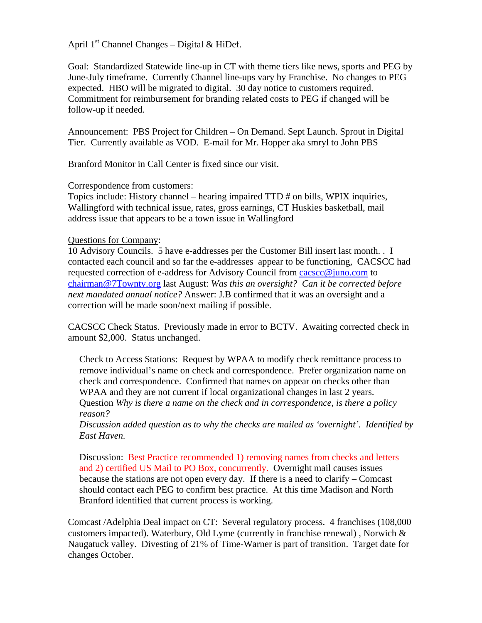## April  $1<sup>st</sup>$  Channel Changes – Digital & HiDef.

Goal: Standardized Statewide line-up in CT with theme tiers like news, sports and PEG by June-July timeframe. Currently Channel line-ups vary by Franchise. No changes to PEG expected. HBO will be migrated to digital. 30 day notice to customers required. Commitment for reimbursement for branding related costs to PEG if changed will be follow-up if needed.

Announcement: PBS Project for Children – On Demand. Sept Launch. Sprout in Digital Tier. Currently available as VOD. E-mail for Mr. Hopper aka smryl to John PBS

Branford Monitor in Call Center is fixed since our visit.

Correspondence from customers:

Topics include: History channel – hearing impaired TTD # on bills, WPIX inquiries, Wallingford with technical issue, rates, gross earnings, CT Huskies basketball, mail address issue that appears to be a town issue in Wallingford

## Questions for Company:

10 Advisory Councils. 5 have e-addresses per the Customer Bill insert last month. . I contacted each council and so far the e-addresses appear to be functioning, CACSCC had requested correction of e-address for Advisory Council from cacscc@juno.com to chairman@7Towntv.org last August: *Was this an oversight? Can it be corrected before next mandated annual notice?* Answer: J.B confirmed that it was an oversight and a correction will be made soon/next mailing if possible.

CACSCC Check Status. Previously made in error to BCTV. Awaiting corrected check in amount \$2,000. Status unchanged.

Check to Access Stations: Request by WPAA to modify check remittance process to remove individual's name on check and correspondence. Prefer organization name on check and correspondence. Confirmed that names on appear on checks other than WPAA and they are not current if local organizational changes in last 2 years. Question *Why is there a name on the check and in correspondence, is there a policy reason?* 

*Discussion added question as to why the checks are mailed as 'overnight'. Identified by East Haven.* 

Discussion: Best Practice recommended 1) removing names from checks and letters and 2) certified US Mail to PO Box, concurrently. Overnight mail causes issues because the stations are not open every day. If there is a need to clarify – Comcast should contact each PEG to confirm best practice. At this time Madison and North Branford identified that current process is working.

Comcast /Adelphia Deal impact on CT: Several regulatory process. 4 franchises (108,000 customers impacted). Waterbury, Old Lyme (currently in franchise renewal) , Norwich & Naugatuck valley. Divesting of 21% of Time-Warner is part of transition. Target date for changes October.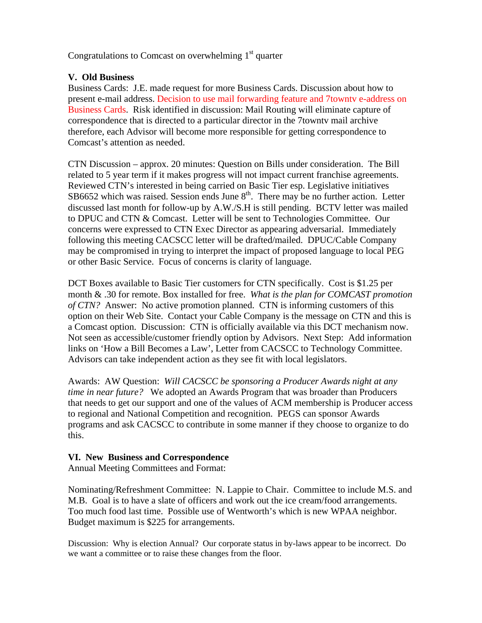Congratulations to Comcast on overwhelming  $1<sup>st</sup>$  quarter

# **V. Old Business**

Business Cards: J.E. made request for more Business Cards. Discussion about how to present e-mail address. Decision to use mail forwarding feature and 7towntv e-address on Business Cards. Risk identified in discussion: Mail Routing will eliminate capture of correspondence that is directed to a particular director in the 7towntv mail archive therefore, each Advisor will become more responsible for getting correspondence to Comcast's attention as needed.

CTN Discussion – approx. 20 minutes: Question on Bills under consideration. The Bill related to 5 year term if it makes progress will not impact current franchise agreements. Reviewed CTN's interested in being carried on Basic Tier esp. Legislative initiatives  $SB6652$  which was raised. Session ends June  $8<sup>th</sup>$ . There may be no further action. Letter discussed last month for follow-up by A.W./S.H is still pending. BCTV letter was mailed to DPUC and CTN & Comcast. Letter will be sent to Technologies Committee. Our concerns were expressed to CTN Exec Director as appearing adversarial. Immediately following this meeting CACSCC letter will be drafted/mailed. DPUC/Cable Company may be compromised in trying to interpret the impact of proposed language to local PEG or other Basic Service. Focus of concerns is clarity of language.

DCT Boxes available to Basic Tier customers for CTN specifically. Cost is \$1.25 per month & .30 for remote. Box installed for free. *What is the plan for COMCAST promotion of CTN?* Answer: No active promotion planned. CTN is informing customers of this option on their Web Site. Contact your Cable Company is the message on CTN and this is a Comcast option. Discussion: CTN is officially available via this DCT mechanism now. Not seen as accessible/customer friendly option by Advisors. Next Step: Add information links on 'How a Bill Becomes a Law', Letter from CACSCC to Technology Committee. Advisors can take independent action as they see fit with local legislators.

Awards: AW Question: *Will CACSCC be sponsoring a Producer Awards night at any time in near future?* We adopted an Awards Program that was broader than Producers that needs to get our support and one of the values of ACM membership is Producer access to regional and National Competition and recognition. PEGS can sponsor Awards programs and ask CACSCC to contribute in some manner if they choose to organize to do this.

# **VI. New Business and Correspondence**

Annual Meeting Committees and Format:

Nominating/Refreshment Committee: N. Lappie to Chair. Committee to include M.S. and M.B. Goal is to have a slate of officers and work out the ice cream/food arrangements. Too much food last time. Possible use of Wentworth's which is new WPAA neighbor. Budget maximum is \$225 for arrangements.

Discussion: Why is election Annual? Our corporate status in by-laws appear to be incorrect. Do we want a committee or to raise these changes from the floor.